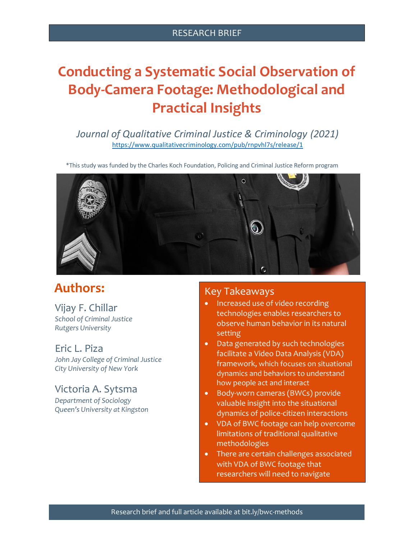## RESEARCH BRIEF

# **Conducting a Systematic Social Observation of Body-Camera Footage: Methodological and Practical Insights**

*Journal of Qualitative Criminal Justice & Criminology (2021)* <https://www.qualitativecriminology.com/pub/rnpvhl7s/release/1>

\*This study was funded by the Charles Koch Foundation, Policing and Criminal Justice Reform program



# **Authors:**

Vijay F. Chillar *School of Criminal Justice Rutgers University*

## Eric L. Piza

*John Jay College of Criminal Justice City University of New York*

# Victoria A. Sytsma

*Department of Sociology Queen's University at Kingston*

### Key Takeaways

- Increased use of video recording technologies enables researchers to observe human behavior in its natural setting
- Data generated by such technologies facilitate a Video Data Analysis (VDA) framework, which focuses on situational dynamics and behaviors to understand how people act and interact
- Body-worn cameras (BWCs) provide valuable insight into the situational dynamics of police-citizen interactions
- VDA of BWC footage can help overcome limitations of traditional qualitative methodologies
- There are certain challenges associated with VDA of BWC footage that researchers will need to navigate